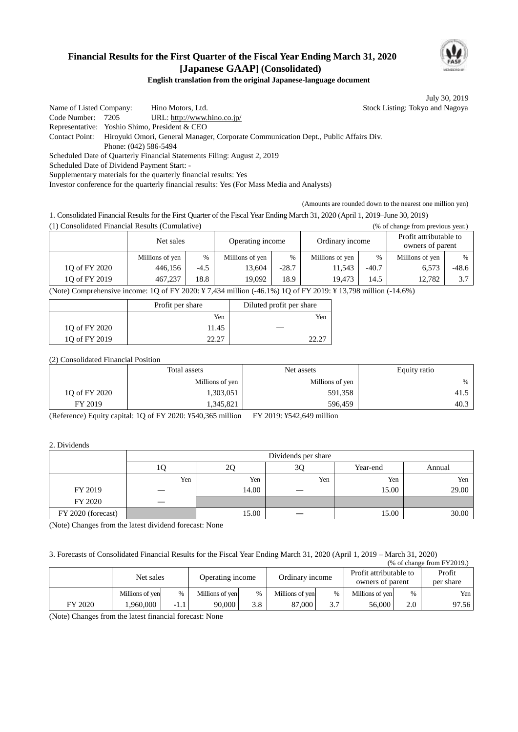

## **Financial Results for the First Quarter of the Fiscal Year Ending March 31, 2020 [Japanese GAAP] (Consolidated)**

**English translation from the original Japanese-language document**

July 30, 2019

Name of Listed Company: Hino Motors, Ltd. Stock Listing: Tokyo and Nagoya Code Number: 7205 URL: http://www.hino.co.jp/ Representative: Yoshio Shimo, President & CEO Contact Point: Hiroyuki Omori, General Manager, Corporate Communication Dept., Public Affairs Div. Phone: (042) 586-5494 Scheduled Date of Quarterly Financial Statements Filing: August 2, 2019 Scheduled Date of Dividend Payment Start: - Supplementary materials for the quarterly financial results: Yes

Investor conference for the quarterly financial results: Yes (For Mass Media and Analysts)

(Amounts are rounded down to the nearest one million yen)

1. Consolidated Financial Results for the First Quarter of the Fiscal Year Ending March 31, 2020 (April 1, 2019–June 30, 2019)

(1) Consolidated Financial Results (Cumulative) (% of change from previous year.)

|                                                                                                                                                                                                                                | Net sales       |               | Operating income |         | Ordinary income |         | Profit attributable to<br>owners of parent |         |
|--------------------------------------------------------------------------------------------------------------------------------------------------------------------------------------------------------------------------------|-----------------|---------------|------------------|---------|-----------------|---------|--------------------------------------------|---------|
|                                                                                                                                                                                                                                | Millions of yen | $\frac{0}{6}$ | Millions of yen  | $\%$    | Millions of yen | $\%$    | Millions of yen                            | $\%$    |
| 10 of FY 2020                                                                                                                                                                                                                  | 446,156         | $-4.5$        | 13.604           | $-28.7$ | 11,543          | $-40.7$ | 6,573                                      | $-48.6$ |
| 10 of FY 2019                                                                                                                                                                                                                  | 467.237         | 18.8          | 19.092           | 18.9    | 19.473          | 14.5    | 12.782                                     | 3.7     |
| (Net ) $C$ - $C$ - $1.1$ $1.1$ $1.1$ $1.1$ $1.1$ $1.1$ $1.1$ $1.1$ $1.1$ $1.1$ $1.1$ $1.1$ $1.1$ $1.1$ $1.1$ $1.1$ $1.1$ $1.1$ $1.1$ $1.1$ $1.1$ $1.1$ $1.1$ $1.1$ $1.1$ $1.1$ $1.1$ $1.1$ $1.1$ $1.1$ $1.1$ $1.1$ $1.1$ $1.1$ |                 |               |                  |         |                 |         |                                            |         |

(Note) Comprehensive income: 1Q of FY 2020: ¥ 7,434 million (-46.1%) 1Q of FY 2019: ¥ 13,798 million (-14.6%)

|               | Profit per share | Diluted profit per share |  |
|---------------|------------------|--------------------------|--|
|               | Yen              | Yen                      |  |
| 10 of FY 2020 | 11.45            |                          |  |
| 10 of FY 2019 | າາ າາ            |                          |  |

#### (2) Consolidated Financial Position

|               | Total assets    | Net assets      | Equity ratio |  |
|---------------|-----------------|-----------------|--------------|--|
|               | Millions of yen | Millions of yen | $\%$         |  |
| 10 of FY 2020 | 1,303,051       | 591,358         | 41.5         |  |
| FY 2019       | 345,821         | 596,459         | 40.3         |  |

(Reference) Equity capital: 1Q of FY 2020: ¥540,365 million FY 2019: ¥542,649 million

#### 2. Dividends

|                    | Dividends per share |       |     |          |        |  |  |
|--------------------|---------------------|-------|-----|----------|--------|--|--|
|                    |                     | 20    | 3Q  | Year-end | Annual |  |  |
|                    | Yen                 | Yen   | Yen | Yen      | Yen    |  |  |
| FY 2019            |                     | 14.00 |     | 15.00    | 29.00  |  |  |
| FY 2020            |                     |       |     |          |        |  |  |
| FY 2020 (forecast) |                     | 15.00 | _   | 15.00    | 30.00  |  |  |

(Note) Changes from the latest dividend forecast: None

3. Forecasts of Consolidated Financial Results for the Fiscal Year Ending March 31, 2020 (April 1, 2019 – March 31, 2020)  $(0.66)$  of change from  $E$ V2010.)

| (70 ОГСПАНЕС ПОШ Г ГДОТУ.) |                 |      |                  |      |                 |               |                                            |      |                     |
|----------------------------|-----------------|------|------------------|------|-----------------|---------------|--------------------------------------------|------|---------------------|
|                            | Net sales       |      | Operating income |      | Ordinary income |               | Profit attributable to<br>owners of parent |      | Profit<br>per share |
|                            | Millions of yen | $\%$ | Millions of yen  | $\%$ | Millions of yen | $\frac{0}{0}$ | Millions of yen                            | $\%$ | Yen                 |
| FY 2020                    | .960.000        | -1.1 | 90.000           | 3.8  | 87.000          | 3.7           | 56,000                                     | 2.0  | 97.56               |

(Note) Changes from the latest financial forecast: None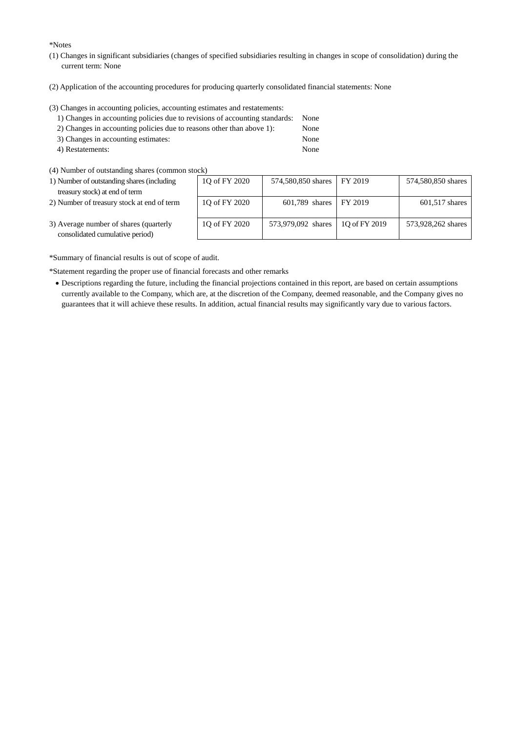\*Notes

- (1) Changes in significant subsidiaries (changes of specified subsidiaries resulting in changes in scope of consolidation) during the current term: None
- (2) Application of the accounting procedures for producing quarterly consolidated financial statements: None

(3) Changes in accounting policies, accounting estimates and restatements:

| 1) Changes in accounting policies due to revisions of accounting standards: None |      |
|----------------------------------------------------------------------------------|------|
| 2) Changes in accounting policies due to reasons other than above 1):            | None |
| 3) Changes in accounting estimates:                                              | None |

- 4) Restatements: None
- (4) Number of outstanding shares (common stock)
- 1) Number of outstanding shares (including treasury stock) at end of term
- 2) Number of treasury stock at end of term

| JUN 1         |                    |               |                    |
|---------------|--------------------|---------------|--------------------|
| 1Q of FY 2020 | 574,580,850 shares | FY 2019       | 574,580,850 shares |
|               |                    |               |                    |
| 1Q of FY 2020 | 601,789 shares     | FY 2019       | $601,517$ shares   |
| 10 of FY 2020 | 573,979,092 shares | 10 of FY 2019 | 573,928,262 shares |

3) Average number of shares (quarterly consolidated cumulative period)

\*Summary of financial results is out of scope of audit.

\*Statement regarding the proper use of financial forecasts and other remarks

 Descriptions regarding the future, including the financial projections contained in this report, are based on certain assumptions currently available to the Company, which are, at the discretion of the Company, deemed reasonable, and the Company gives no guarantees that it will achieve these results. In addition, actual financial results may significantly vary due to various factors.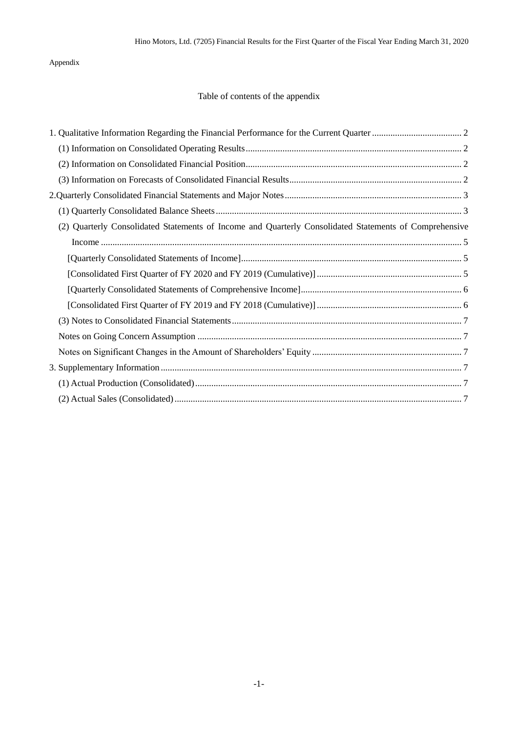### Appendix

## Table of contents of the appendix

| (2) Quarterly Consolidated Statements of Income and Quarterly Consolidated Statements of Comprehensive |
|--------------------------------------------------------------------------------------------------------|
|                                                                                                        |
|                                                                                                        |
|                                                                                                        |
|                                                                                                        |
|                                                                                                        |
|                                                                                                        |
|                                                                                                        |
|                                                                                                        |
|                                                                                                        |
|                                                                                                        |
|                                                                                                        |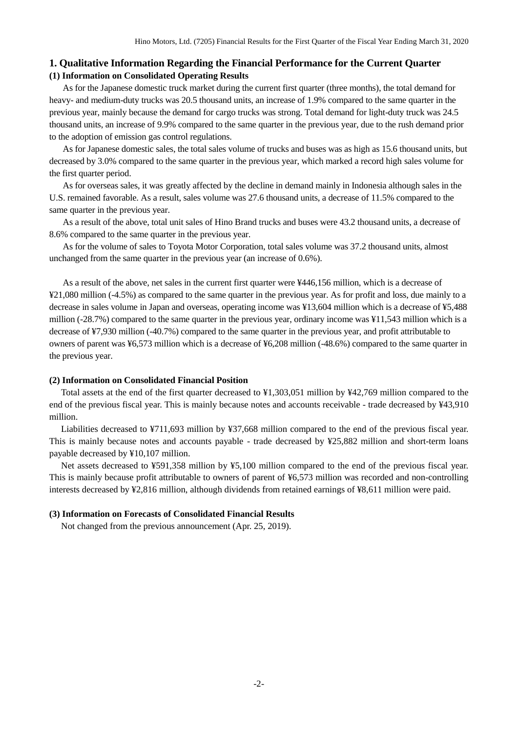### <span id="page-3-1"></span><span id="page-3-0"></span>**1. Qualitative Information Regarding the Financial Performance for the Current Quarter (1) Information on Consolidated Operating Results**

As for the Japanese domestic truck market during the current first quarter (three months), the total demand for heavy- and medium-duty trucks was 20.5 thousand units, an increase of 1.9% compared to the same quarter in the previous year, mainly because the demand for cargo trucks was strong. Total demand for light-duty truck was 24.5 thousand units, an increase of 9.9% compared to the same quarter in the previous year, due to the rush demand prior to the adoption of emission gas control regulations.

As for Japanese domestic sales, the total sales volume of trucks and buses was as high as 15.6 thousand units, but decreased by 3.0% compared to the same quarter in the previous year, which marked a record high sales volume for the first quarter period.

As for overseas sales, it was greatly affected by the decline in demand mainly in Indonesia although sales in the U.S. remained favorable. As a result, sales volume was 27.6 thousand units, a decrease of 11.5% compared to the same quarter in the previous year.

As a result of the above, total unit sales of Hino Brand trucks and buses were 43.2 thousand units, a decrease of 8.6% compared to the same quarter in the previous year.

As for the volume of sales to Toyota Motor Corporation, total sales volume was 37.2 thousand units, almost unchanged from the same quarter in the previous year (an increase of 0.6%).

As a result of the above, net sales in the current first quarter were ¥446,156 million, which is a decrease of ¥21,080 million (-4.5%) as compared to the same quarter in the previous year. As for profit and loss, due mainly to a decrease in sales volume in Japan and overseas, operating income was ¥13,604 million which is a decrease of ¥5,488 million (-28.7%) compared to the same quarter in the previous year, ordinary income was ¥11,543 million which is a decrease of ¥7,930 million (-40.7%) compared to the same quarter in the previous year, and profit attributable to owners of parent was ¥6,573 million which is a decrease of ¥6,208 million (-48.6%) compared to the same quarter in the previous year.

#### <span id="page-3-2"></span>**(2) Information on Consolidated Financial Position**

Total assets at the end of the first quarter decreased to ¥1,303,051 million by ¥42,769 million compared to the end of the previous fiscal year. This is mainly because notes and accounts receivable - trade decreased by ¥43,910 million.

Liabilities decreased to ¥711,693 million by ¥37,668 million compared to the end of the previous fiscal year. This is mainly because notes and accounts payable - trade decreased by ¥25,882 million and short-term loans payable decreased by ¥10,107 million.

Net assets decreased to ¥591,358 million by ¥5,100 million compared to the end of the previous fiscal year. This is mainly because profit attributable to owners of parent of ¥6,573 million was recorded and non-controlling interests decreased by ¥2,816 million, although dividends from retained earnings of ¥8,611 million were paid.

#### <span id="page-3-3"></span>**(3) Information on Forecasts of Consolidated Financial Results**

Not changed from the previous announcement (Apr. 25, 2019).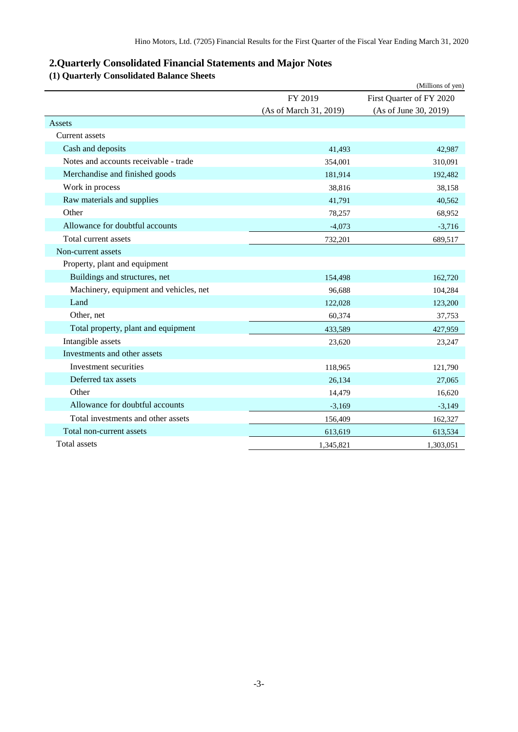## <span id="page-4-0"></span>**2.Quarterly Consolidated Financial Statements and Major Notes**

# <span id="page-4-1"></span>**(1) Quarterly Consolidated Balance Sheets**

|                                        |                        | (Millions of yen)        |
|----------------------------------------|------------------------|--------------------------|
|                                        | FY 2019                | First Quarter of FY 2020 |
|                                        | (As of March 31, 2019) | (As of June 30, 2019)    |
| Assets                                 |                        |                          |
| Current assets                         |                        |                          |
| Cash and deposits                      | 41,493                 | 42,987                   |
| Notes and accounts receivable - trade  | 354,001                | 310,091                  |
| Merchandise and finished goods         | 181,914                | 192,482                  |
| Work in process                        | 38,816                 | 38,158                   |
| Raw materials and supplies             | 41,791                 | 40,562                   |
| Other                                  | 78,257                 | 68,952                   |
| Allowance for doubtful accounts        | $-4,073$               | $-3,716$                 |
| Total current assets                   | 732,201                | 689,517                  |
| Non-current assets                     |                        |                          |
| Property, plant and equipment          |                        |                          |
| Buildings and structures, net          | 154,498                | 162,720                  |
| Machinery, equipment and vehicles, net | 96,688                 | 104,284                  |
| Land                                   | 122,028                | 123,200                  |
| Other, net                             | 60,374                 | 37,753                   |
| Total property, plant and equipment    | 433,589                | 427,959                  |
| Intangible assets                      | 23,620                 | 23,247                   |
| Investments and other assets           |                        |                          |
| Investment securities                  | 118,965                | 121,790                  |
| Deferred tax assets                    | 26,134                 | 27,065                   |
| Other                                  | 14,479                 | 16,620                   |
| Allowance for doubtful accounts        | $-3,169$               | $-3,149$                 |
| Total investments and other assets     | 156,409                | 162,327                  |
| Total non-current assets               | 613,619                | 613,534                  |
| Total assets                           | 1,345,821              | 1,303,051                |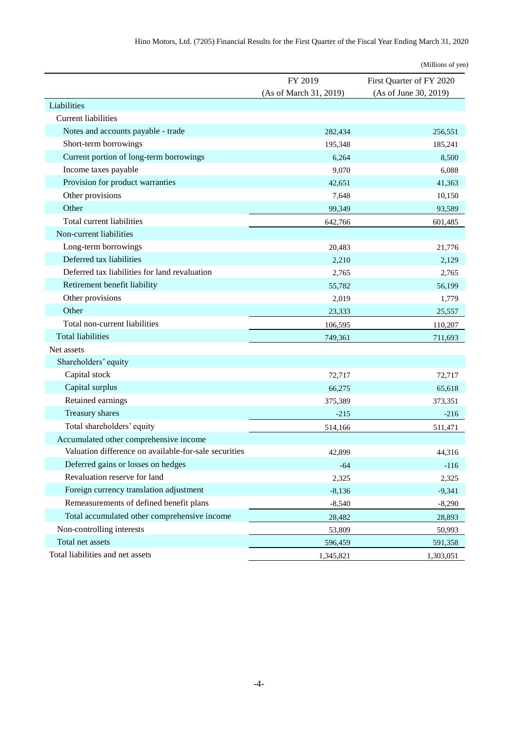|                                                       |                        | (Millions of yen)        |
|-------------------------------------------------------|------------------------|--------------------------|
|                                                       | FY 2019                | First Quarter of FY 2020 |
|                                                       | (As of March 31, 2019) | (As of June 30, 2019)    |
| Liabilities                                           |                        |                          |
| <b>Current liabilities</b>                            |                        |                          |
| Notes and accounts payable - trade                    | 282,434                | 256,551                  |
| Short-term borrowings                                 | 195,348                | 185,241                  |
| Current portion of long-term borrowings               | 6,264                  | 8,500                    |
| Income taxes payable                                  | 9,070                  | 6,088                    |
| Provision for product warranties                      | 42,651                 | 41,363                   |
| Other provisions                                      | 7,648                  | 10,150                   |
| Other                                                 | 99,349                 | 93,589                   |
| Total current liabilities                             | 642,766                | 601,485                  |
| Non-current liabilities                               |                        |                          |
| Long-term borrowings                                  | 20,483                 | 21,776                   |
| Deferred tax liabilities                              | 2,210                  | 2,129                    |
| Deferred tax liabilities for land revaluation         | 2,765                  | 2,765                    |
| Retirement benefit liability                          | 55,782                 | 56,199                   |
| Other provisions                                      | 2,019                  | 1,779                    |
| Other                                                 | 23,333                 | 25,557                   |
| Total non-current liabilities                         | 106,595                | 110,207                  |
| <b>Total liabilities</b>                              | 749,361                | 711,693                  |
| Net assets                                            |                        |                          |
| Shareholders' equity                                  |                        |                          |
| Capital stock                                         | 72,717                 | 72,717                   |
| Capital surplus                                       | 66,275                 | 65,618                   |
| Retained earnings                                     | 375,389                | 373,351                  |
| Treasury shares                                       | $-215$                 | $-216$                   |
| Total shareholders' equity                            | 514,166                | 511,471                  |
| Accumulated other comprehensive income                |                        |                          |
| Valuation difference on available-for-sale securities | 42,899                 | 44,316                   |
| Deferred gains or losses on hedges                    | $-64$                  | $-116$                   |
| Revaluation reserve for land                          | 2,325                  | 2,325                    |
| Foreign currency translation adjustment               | $-8,136$               | $-9,341$                 |
| Remeasurements of defined benefit plans               | $-8,540$               | $-8,290$                 |
| Total accumulated other comprehensive income          | 28,482                 | 28,893                   |
| Non-controlling interests                             | 53,809                 | 50,993                   |
| Total net assets                                      | 596,459                | 591,358                  |
| Total liabilities and net assets                      | 1,345,821              | 1,303,051                |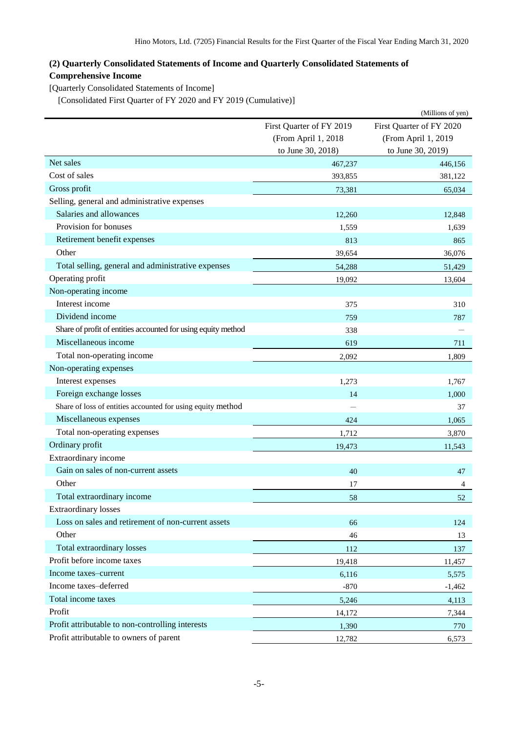## <span id="page-6-0"></span>**(2) Quarterly Consolidated Statements of Income and Quarterly Consolidated Statements of Comprehensive Income**

<span id="page-6-1"></span>[Quarterly Consolidated Statements of Income]

<span id="page-6-2"></span>[Consolidated First Quarter of FY 2020 and FY 2019 (Cumulative)]

|                                                               |                          | (Millions of yen)        |
|---------------------------------------------------------------|--------------------------|--------------------------|
|                                                               | First Quarter of FY 2019 | First Quarter of FY 2020 |
|                                                               | (From April 1, 2018      | (From April 1, 2019      |
|                                                               | to June 30, 2018)        | to June 30, 2019)        |
| Net sales                                                     | 467,237                  | 446,156                  |
| Cost of sales                                                 | 393,855                  | 381,122                  |
| Gross profit                                                  | 73,381                   | 65,034                   |
| Selling, general and administrative expenses                  |                          |                          |
| Salaries and allowances                                       | 12,260                   | 12,848                   |
| Provision for bonuses                                         | 1,559                    | 1,639                    |
| Retirement benefit expenses                                   | 813                      | 865                      |
| Other                                                         | 39,654                   | 36,076                   |
| Total selling, general and administrative expenses            | 54,288                   | 51,429                   |
| Operating profit                                              | 19,092                   | 13,604                   |
| Non-operating income                                          |                          |                          |
| Interest income                                               | 375                      | 310                      |
| Dividend income                                               | 759                      | 787                      |
| Share of profit of entities accounted for using equity method | 338                      |                          |
| Miscellaneous income                                          | 619                      | 711                      |
| Total non-operating income                                    | 2,092                    | 1,809                    |
| Non-operating expenses                                        |                          |                          |
| Interest expenses                                             | 1,273                    | 1,767                    |
| Foreign exchange losses                                       | 14                       | 1,000                    |
| Share of loss of entities accounted for using equity method   |                          | 37                       |
| Miscellaneous expenses                                        | 424                      | 1,065                    |
| Total non-operating expenses                                  | 1,712                    | 3,870                    |
| Ordinary profit                                               | 19,473                   | 11,543                   |
| Extraordinary income                                          |                          |                          |
| Gain on sales of non-current assets                           | 40                       | 47                       |
| Other                                                         | 17                       | 4                        |
| Total extraordinary income                                    | 58                       | 52                       |
| <b>Extraordinary losses</b>                                   |                          |                          |
| Loss on sales and retirement of non-current assets            | 66                       | 124                      |
| Other                                                         | 46                       | 13                       |
| Total extraordinary losses                                    | 112                      | 137                      |
| Profit before income taxes                                    | 19,418                   | 11,457                   |
| Income taxes-current                                          | 6,116                    | 5,575                    |
| Income taxes-deferred                                         | $-870$                   | $-1,462$                 |
| Total income taxes                                            | 5,246                    | 4,113                    |
| Profit                                                        | 14,172                   | 7,344                    |
| Profit attributable to non-controlling interests              | 1,390                    | 770                      |
| Profit attributable to owners of parent                       | 12,782                   | 6,573                    |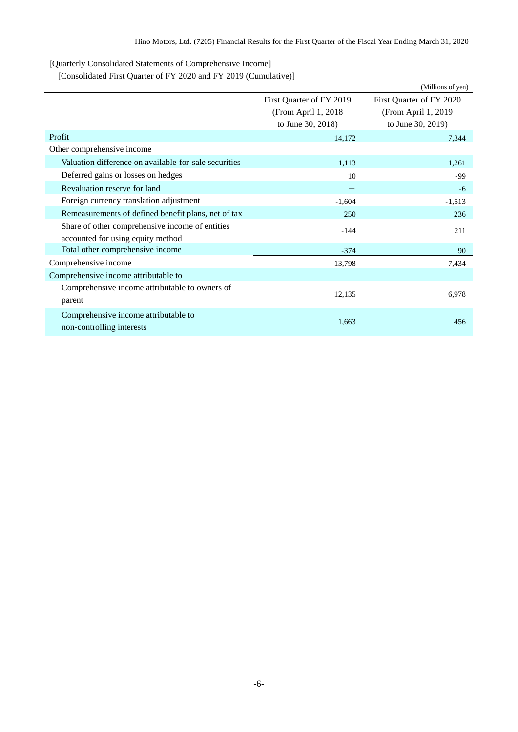<span id="page-7-0"></span>[Quarterly Consolidated Statements of Comprehensive Income]

<span id="page-7-1"></span>[Consolidated First Quarter of FY 2020 and FY 2019 (Cumulative)]

|                                                       |                          | (Millions of yen)        |
|-------------------------------------------------------|--------------------------|--------------------------|
|                                                       | First Quarter of FY 2019 | First Quarter of FY 2020 |
|                                                       | (From April 1, 2018)     | (From April 1, 2019      |
|                                                       | to June 30, 2018)        | to June 30, 2019)        |
| Profit                                                | 14,172                   | 7,344                    |
| Other comprehensive income                            |                          |                          |
| Valuation difference on available-for-sale securities | 1,113                    | 1,261                    |
| Deferred gains or losses on hedges                    | 10                       | -99                      |
| Revaluation reserve for land                          |                          | $-6$                     |
| Foreign currency translation adjustment               | $-1,604$                 | $-1,513$                 |
| Remeasurements of defined benefit plans, net of tax   | 250                      | 236                      |
| Share of other comprehensive income of entities       | $-144$                   | 211                      |
| accounted for using equity method                     |                          |                          |
| Total other comprehensive income                      | $-374$                   | 90                       |
| Comprehensive income                                  | 13,798                   | 7,434                    |
| Comprehensive income attributable to                  |                          |                          |
| Comprehensive income attributable to owners of        |                          |                          |
| parent                                                | 12,135                   | 6,978                    |
| Comprehensive income attributable to                  |                          |                          |
| non-controlling interests                             | 1,663                    | 456                      |